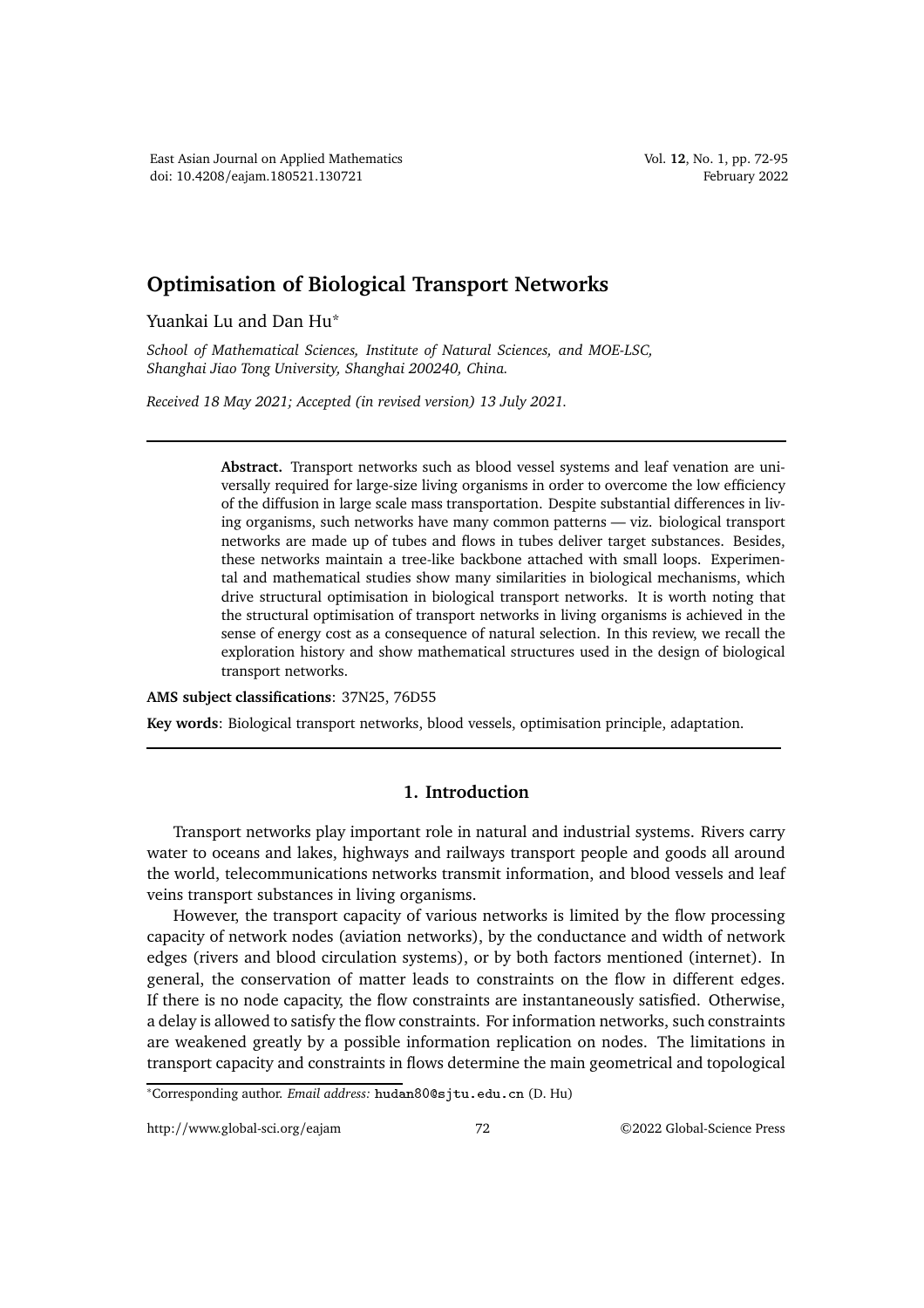## **Optimisation of Biological Transport Networks**

Yuankai Lu and Dan Hu\*

*School of Mathematical Sciences, Institute of Natural Sciences, and MOE-LSC, Shanghai Jiao Tong University, Shanghai 200240, China.*

*Received 18 May 2021; Accepted (in revised version) 13 July 2021.*

**Abstract.** Transport networks such as blood vessel systems and leaf venation are universally required for large-size living organisms in order to overcome the low efficiency of the diffusion in large scale mass transportation. Despite substantial differences in living organisms, such networks have many common patterns — viz. biological transport networks are made up of tubes and flows in tubes deliver target substances. Besides, these networks maintain a tree-like backbone attached with small loops. Experimental and mathematical studies show many similarities in biological mechanisms, which drive structural optimisation in biological transport networks. It is worth noting that the structural optimisation of transport networks in living organisms is achieved in the sense of energy cost as a consequence of natural selection. In this review, we recall the exploration history and show mathematical structures used in the design of biological transport networks.

**AMS subject classifications**: 37N25, 76D55

**Key words**: Biological transport networks, blood vessels, optimisation principle, adaptation.

## **1. Introduction**

Transport networks play important role in natural and industrial systems. Rivers carry water to oceans and lakes, highways and railways transport people and goods all around the world, telecommunications networks transmit information, and blood vessels and leaf veins transport substances in living organisms.

However, the transport capacity of various networks is limited by the flow processing capacity of network nodes (aviation networks), by the conductance and width of network edges (rivers and blood circulation systems), or by both factors mentioned (internet). In general, the conservation of matter leads to constraints on the flow in different edges. If there is no node capacity, the flow constraints are instantaneously satisfied. Otherwise, a delay is allowed to satisfy the flow constraints. For information networks, such constraints are weakened greatly by a possible information replication on nodes. The limitations in transport capacity and constraints in flows determine the main geometrical and topological

<sup>∗</sup>Corresponding author. *Email address:* hudan80@sjtu.edu.cn (D. Hu)

http://www.global-sci.org/eajam 72 ©2022 Global-Science Press